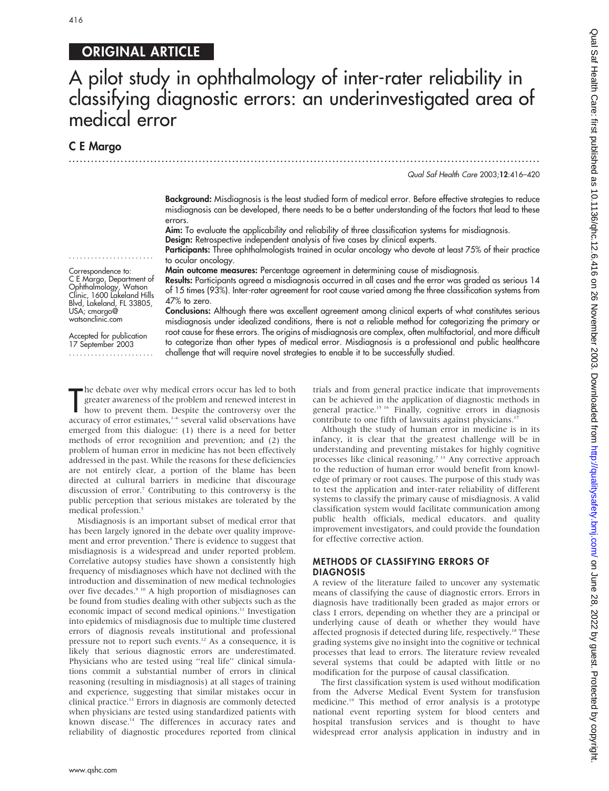# 416

# ORIGINAL ARTICLE

# A pilot study in ophthalmology of inter-rater reliability in classifying diagnostic errors: an underinvestigated area of medical error

.............................................................................................................................. .

## C E Margo

Qual Saf Health Care 2003;12:416–420

Background: Misdiagnosis is the least studied form of medical error. Before effective strategies to reduce misdiagnosis can be developed, there needs to be a better understanding of the factors that lead to these errors.

Aim: To evaluate the applicability and reliability of three classification systems for misdiagnosis. Design: Retrospective independent analysis of five cases by clinical experts.

Participants: Three ophthalmologists trained in ocular oncology who devote at least 75% of their practice to ocular oncology.

Main outcome measures: Percentage agreement in determining cause of misdiagnosis.

Results: Participants agreed a misdiagnosis occurred in all cases and the error was graded as serious 14 of 15 times (93%). Inter-rater agreement for root cause varied among the three classification systems from 47% to zero.

Conclusions: Although there was excellent agreement among clinical experts of what constitutes serious misdiagnosis under idealized conditions, there is not a reliable method for categorizing the primary or root cause for these errors. The origins of misdiagnosis are complex, often multifactorial, and more difficult to categorize than other types of medical error. Misdiagnosis is a professional and public healthcare challenge that will require novel strategies to enable it to be successfully studied.

Clinic, 1600 Lakeland Hills Blvd, Lakeland, FL 33805, USA; cmargo@ watsonclinic.com Accepted for publication 17 September 2003 .......................

....................... Correspondence to: C E Margo, Department of Ophthalmology, Watson

The debate over why medical errors occur has led to both<br>greater awareness of the problem and renewed interest in<br>how to prevent them. Despite the controversy over the<br>accuracy of error estimates,<sup>1-6</sup> several valid observ he debate over why medical errors occur has led to both greater awareness of the problem and renewed interest in how to prevent them. Despite the controversy over the emerged from this dialogue: (1) there is a need for better methods of error recognition and prevention; and (2) the problem of human error in medicine has not been effectively addressed in the past. While the reasons for these deficiencies are not entirely clear, a portion of the blame has been directed at cultural barriers in medicine that discourage discussion of error.7 Contributing to this controversy is the public perception that serious mistakes are tolerated by the medical profession.<sup>5</sup>

Misdiagnosis is an important subset of medical error that has been largely ignored in the debate over quality improvement and error prevention.<sup>8</sup> There is evidence to suggest that misdiagnosis is a widespread and under reported problem. Correlative autopsy studies have shown a consistently high frequency of misdiagnoses which have not declined with the introduction and dissemination of new medical technologies over five decades.<sup>9 10</sup> A high proportion of misdiagnoses can be found from studies dealing with other subjects such as the economic impact of second medical opinions.<sup>11</sup> Investigation into epidemics of misdiagnosis due to multiple time clustered errors of diagnosis reveals institutional and professional pressure not to report such events.12 As a consequence, it is likely that serious diagnostic errors are underestimated. Physicians who are tested using ''real life'' clinical simulations commit a substantial number of errors in clinical reasoning (resulting in misdiagnosis) at all stages of training and experience, suggesting that similar mistakes occur in clinical practice.13 Errors in diagnosis are commonly detected when physicians are tested using standardized patients with known disease.<sup>14</sup> The differences in accuracy rates and reliability of diagnostic procedures reported from clinical trials and from general practice indicate that improvements can be achieved in the application of diagnostic methods in general practice.<sup>15 16</sup> Finally, cognitive errors in diagnosis contribute to one fifth of lawsuits against physicians.<sup>17</sup>

Although the study of human error in medicine is in its infancy, it is clear that the greatest challenge will be in understanding and preventing mistakes for highly cognitive processes like clinical reasoning.<sup>7 13</sup> Any corrective approach to the reduction of human error would benefit from knowledge of primary or root causes. The purpose of this study was to test the application and inter-rater reliability of different systems to classify the primary cause of misdiagnosis. A valid classification system would facilitate communication among public health officials, medical educators. and quality improvement investigators, and could provide the foundation for effective corrective action.

#### METHODS OF CLASSIFYING ERRORS OF DIAGNOSIS

A review of the literature failed to uncover any systematic means of classifying the cause of diagnostic errors. Errors in diagnosis have traditionally been graded as major errors or class I errors, depending on whether they are a principal or underlying cause of death or whether they would have affected prognosis if detected during life, respectively.18 These grading systems give no insight into the cognitive or technical processes that lead to errors. The literature review revealed several systems that could be adapted with little or no modification for the purpose of causal classification.

The first classification system is used without modification from the Adverse Medical Event System for transfusion medicine.19 This method of error analysis is a prototype national event reporting system for blood centers and hospital transfusion services and is thought to have widespread error analysis application in industry and in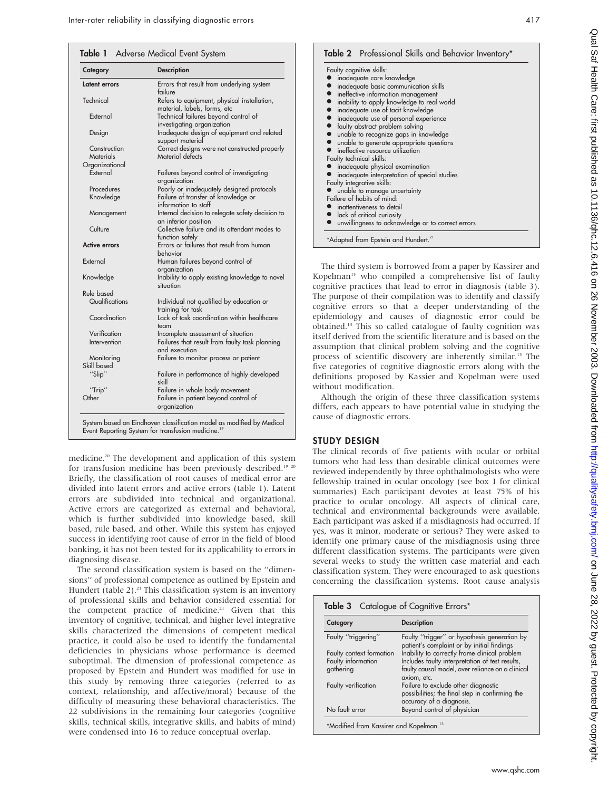| Category             | <b>Description</b>                                                          |  |
|----------------------|-----------------------------------------------------------------------------|--|
| Latent errors        | Errors that result from underlying system<br>failure                        |  |
| Technical            | Refers to equipment, physical installation,<br>material, labels, forms, etc |  |
| External             | Technical failures beyond control of<br>investigating organization          |  |
| Design               | Inadequate design of equipment and related<br>support material              |  |
| Construction         | Correct designs were not constructed properly                               |  |
| Materials            | Material defects                                                            |  |
| Organizational       |                                                                             |  |
| External             | Failures beyond control of investigating<br>organization                    |  |
| Procedures           | Poorly or inadequately designed protocols                                   |  |
| Knowledge            | Failure of transfer of knowledge or<br>information to staff                 |  |
| Management           | Internal decision to relegate safety decision to<br>an inferior position    |  |
| Culture              | Collective failure and its attendant modes to<br>function safely            |  |
| <b>Active errors</b> | Errors or failures that result from human<br>behavior                       |  |
| External             | Human failures beyond control of<br>organization                            |  |
| Knowledge            | Inability to apply existing knowledge to novel<br>situation                 |  |
| Rule based           |                                                                             |  |
| Qualifications       | Individual not qualified by education or<br>training for task               |  |
| Coordination         | Lack of task coordination within healthcare<br>team                         |  |
| Verification         | Incomplete assessment of situation                                          |  |
| Intervention         | Failures that result from faulty task planning<br>and execution             |  |
| Monitoring           | Failure to monitor process or patient                                       |  |
| Skill based          |                                                                             |  |
| "Slip"               | Failure in performance of highly developed<br>skill                         |  |
| "Trip"               | Failure in whole body movement                                              |  |
| Other                | Failure in patient beyond control of<br>organization                        |  |

medicine.20 The development and application of this system for transfusion medicine has been previously described.<sup>19 20</sup> Briefly, the classification of root causes of medical error are divided into latent errors and active errors (table 1). Latent errors are subdivided into technical and organizational. Active errors are categorized as external and behavioral, which is further subdivided into knowledge based, skill based, rule based, and other. While this system has enjoyed success in identifying root cause of error in the field of blood banking, it has not been tested for its applicability to errors in diagnosing disease.

The second classification system is based on the ''dimensions'' of professional competence as outlined by Epstein and Hundert (table  $2$ ).<sup>21</sup> This classification system is an inventory of professional skills and behavior considered essential for the competent practice of medicine.<sup>21</sup> Given that this inventory of cognitive, technical, and higher level integrative skills characterized the dimensions of competent medical practice, it could also be used to identify the fundamental deficiencies in physicians whose performance is deemed suboptimal. The dimension of professional competence as proposed by Epstein and Hundert was modified for use in this study by removing three categories (referred to as context, relationship, and affective/moral) because of the difficulty of measuring these behavioral characteristics. The 22 subdivisions in the remaining four categories (cognitive skills, technical skills, integrative skills, and habits of mind) were condensed into 16 to reduce conceptual overlap.

| Faulty cognitive skills:                            |
|-----------------------------------------------------|
| inadequate core knowledge                           |
| nadequate basic communication skills                |
| • ineffective information management                |
| • inability to apply knowledge to real world        |
| • inadequate use of tacit knowledge                 |
| • inadequate use of personal experience             |
| • faulty abstract problem solving                   |
| ● unable to recognize gaps in knowledge             |
| • unable to generate appropriate questions          |
| neffective resource utilization                     |
| Faulty technical skills:                            |
| inadequate physical examination                     |
| inadequate interpretation of special studies        |
| Faulty integrative skills:                          |
| unable to manage uncertainty                        |
| Failure of habits of mind:                          |
| $\bullet$ inattentiveness to detail                 |
| lack of critical curiosity                          |
| • unwillingness to acknowledge or to correct errors |

The third system is borrowed from a paper by Kassirer and Kopelman<sup>13</sup> who compiled a comprehensive list of faulty cognitive practices that lead to error in diagnosis (table 3). The purpose of their compilation was to identify and classify cognitive errors so that a deeper understanding of the epidemiology and causes of diagnostic error could be obtained.13 This so called catalogue of faulty cognition was itself derived from the scientific literature and is based on the assumption that clinical problem solving and the cognitive process of scientific discovery are inherently similar.13 The five categories of cognitive diagnostic errors along with the definitions proposed by Kassier and Kopelman were used without modification.

Although the origin of these three classification systems differs, each appears to have potential value in studying the cause of diagnostic errors.

#### STUDY DESIGN

The clinical records of five patients with ocular or orbital tumors who had less than desirable clinical outcomes were reviewed independently by three ophthalmologists who were fellowship trained in ocular oncology (see box 1 for clinical summaries) Each participant devotes at least 75% of his practice to ocular oncology. All aspects of clinical care, technical and environmental backgrounds were available. Each participant was asked if a misdiagnosis had occurred. If yes, was it minor, moderate or serious? They were asked to identify one primary cause of the misdiagnosis using three different classification systems. The participants were given several weeks to study the written case material and each classification system. They were encouraged to ask questions concerning the classification systems. Root cause analysis

| <b>Table 3</b> Catalogue of Cognitive Errors*       |                                                                                                                    |  |  |  |  |
|-----------------------------------------------------|--------------------------------------------------------------------------------------------------------------------|--|--|--|--|
| Category                                            | <b>Description</b>                                                                                                 |  |  |  |  |
| Faulty "triggering"                                 | Faulty "trigger" or hypothesis generation by<br>patient's complaint or by initial findings                         |  |  |  |  |
| Faulty context formation                            | Inability to correctly frame clinical problem                                                                      |  |  |  |  |
| Faulty information<br>gathering                     | Includes faulty interpretation of test results,<br>faulty causal model, over reliance on a clinical<br>axiom, etc. |  |  |  |  |
| Faulty verification                                 | Failure to exclude other diagnostic<br>possibilities; the final step in confirming the<br>accuracy of a diagnosis. |  |  |  |  |
| No fault error                                      | Beyond control of physician                                                                                        |  |  |  |  |
| *Modified from Kassirer and Kopelman. <sup>13</sup> |                                                                                                                    |  |  |  |  |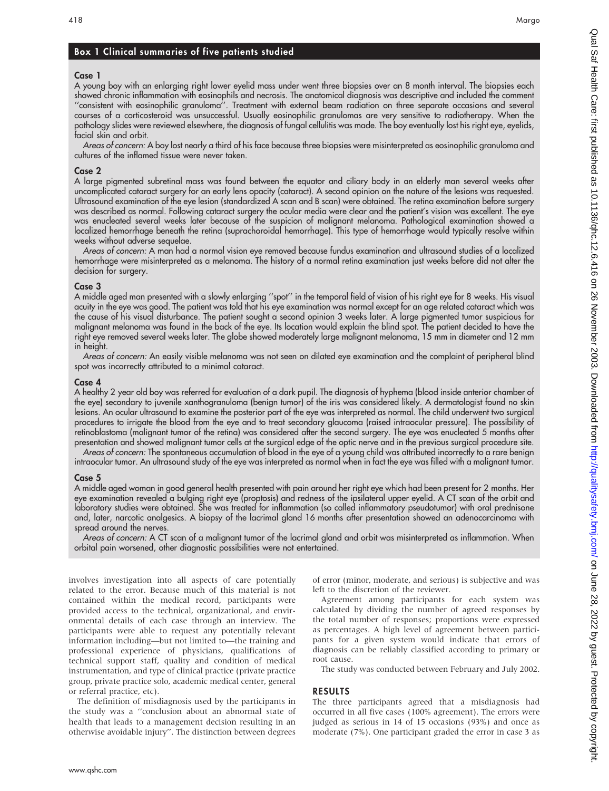## Box 1 Clinical summaries of five patients studied

#### Case 1

A young boy with an enlarging right lower eyelid mass under went three biopsies over an 8 month interval. The biopsies each showed chronic inflammation with eosinophils and necrosis. The anatomical diagnosis was descriptive and included the comment ''consistent with eosinophilic granuloma''. Treatment with external beam radiation on three separate occasions and several courses of a corticosteroid was unsuccessful. Usually eosinophilic granulomas are very sensitive to radiotherapy. When the pathology slides were reviewed elsewhere, the diagnosis of fungal cellulitis was made. The boy eventually lost his right eye, eyelids, facial skin and orbit.

Areas of concern: A boy lost nearly a third of his face because three biopsies were misinterpreted as eosinophilic granuloma and cultures of the inflamed tissue were never taken.

#### Case 2

A large pigmented subretinal mass was found between the equator and ciliary body in an elderly man several weeks after uncomplicated cataract surgery for an early lens opacity (cataract). A second opinion on the nature of the lesions was requested. Ultrasound examination of the eye lesion (standardized A scan and B scan) were obtained. The retina examination before surgery was described as normal. Following cataract surgery the ocular media were clear and the patient's vision was excellent. The eye was enucleated several weeks later because of the suspicion of malignant melanoma. Pathological examination showed a localized hemorrhage beneath the retina (suprachoroidal hemorrhage). This type of hemorrhage would typically resolve within weeks without adverse sequelae.

Areas of concern: A man had a normal vision eye removed because fundus examination and ultrasound studies of a localized hemorrhage were misinterpreted as a melanoma. The history of a normal retina examination just weeks before did not alter the decision for surgery.

#### Case 3

A middle aged man presented with a slowly enlarging ''spot'' in the temporal field of vision of his right eye for 8 weeks. His visual acuity in the eye was good. The patient was told that his eye examination was normal except for an age related cataract which was the cause of his visual disturbance. The patient sought a second opinion 3 weeks later. A large pigmented tumor suspicious for malignant melanoma was found in the back of the eye. Its location would explain the blind spot. The patient decided to have the right eye removed several weeks later. The globe showed moderately large malignant melanoma, 15 mm in diameter and 12 mm in height.

Areas of concern: An easily visible melanoma was not seen on dilated eye examination and the complaint of peripheral blind spot was incorrectly attributed to a minimal cataract.

#### Case 4

A healthy 2 year old boy was referred for evaluation of a dark pupil. The diagnosis of hyphema (blood inside anterior chamber of the eye) secondary to juvenile xanthogranuloma (benign tumor) of the iris was considered likely. A dermatologist found no skin lesions. An ocular ultrasound to examine the posterior part of the eye was interpreted as normal. The child underwent two surgical procedures to irrigate the blood from the eye and to treat secondary glaucoma (raised intraocular pressure). The possibility of retinoblastoma (malignant tumor of the retina) was considered after the second surgery. The eye was enucleated 5 months after presentation and showed malignant tumor cells at the surgical edge of the optic nerve and in the previous surgical procedure site.

Areas of concern: The spontaneous accumulation of blood in the eye of a young child was attributed incorrectly to a rare benign intraocular tumor. An ultrasound study of the eye was interpreted as normal when in fact the eye was filled with a malignant tumor.

#### Case 5

A middle aged woman in good general health presented with pain around her right eye which had been present for 2 months. Her eye examination revealed a bulging right eye (proptosis) and redness of the ipsilateral upper eyelid. A CT scan of the orbit and laboratory studies were obtained. She was treated for inflammation (so called inflammatory pseudotumor) with oral prednisone and, later, narcotic analgesics. A biopsy of the lacrimal gland 16 months after presentation showed an adenocarcinoma with spread around the nerves.

Areas of concern: A CT scan of a malignant tumor of the lacrimal gland and orbit was misinterpreted as inflammation. When orbital pain worsened, other diagnostic possibilities were not entertained.

involves investigation into all aspects of care potentially related to the error. Because much of this material is not contained within the medical record, participants were provided access to the technical, organizational, and environmental details of each case through an interview. The participants were able to request any potentially relevant information including—but not limited to—the training and professional experience of physicians, qualifications of technical support staff, quality and condition of medical instrumentation, and type of clinical practice (private practice group, private practice solo, academic medical center, general or referral practice, etc).

The definition of misdiagnosis used by the participants in the study was a ''conclusion about an abnormal state of health that leads to a management decision resulting in an otherwise avoidable injury''. The distinction between degrees

of error (minor, moderate, and serious) is subjective and was left to the discretion of the reviewer.

Agreement among participants for each system was calculated by dividing the number of agreed responses by the total number of responses; proportions were expressed as percentages. A high level of agreement between participants for a given system would indicate that errors of diagnosis can be reliably classified according to primary or root cause.

The study was conducted between February and July 2002.

### RESULTS

The three participants agreed that a misdiagnosis had occurred in all five cases (100% agreement). The errors were judged as serious in 14 of 15 occasions (93%) and once as moderate (7%). One participant graded the error in case 3 as

Qual Sat Health Care: first published as 10.1136/qhc.12.6.416 on 26 November 2003. Downloaded from <http://qualitysafety.bmj.com/> On June 28, 2022 by guest. Protected by copyright.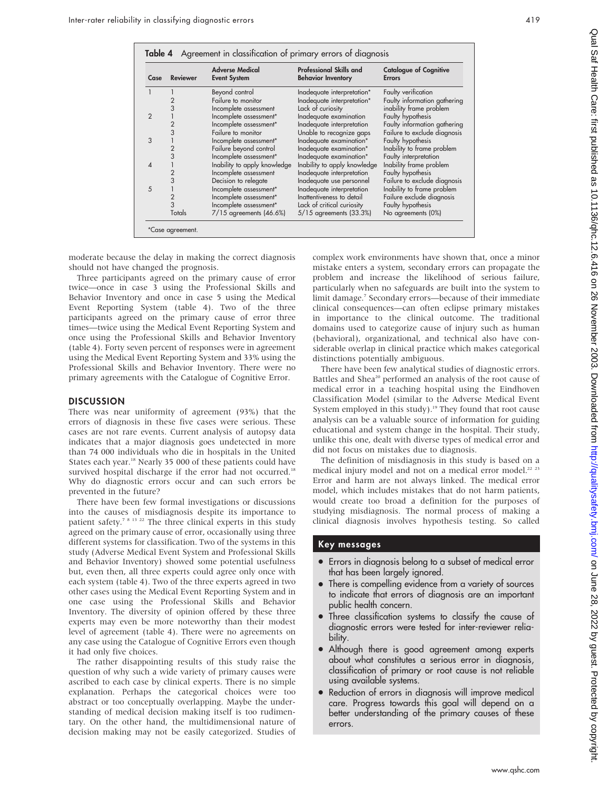| Case           | <b>Reviewer</b> | <b>Adverse Medical</b><br><b>Event System</b> | <b>Professional Skills and</b><br><b>Behavior Inventory</b> | <b>Catalogue of Cognitive</b><br><b>Errors</b> |
|----------------|-----------------|-----------------------------------------------|-------------------------------------------------------------|------------------------------------------------|
| $\mathbf{1}$   |                 | Beyond control                                | Inadequate interpretation*                                  | Faulty verification                            |
|                | 2               | Failure to monitor                            | Inadequate interpretation*                                  | Faulty information gathering                   |
|                | 3               | Incomplete assessment                         | Lack of curiosity                                           | inability frame problem                        |
| $\overline{2}$ |                 | Incomplete assessment*                        | Inadequate examination                                      | Faulty hypothesis                              |
|                |                 | Incomplete assessment*                        | Inadequate interpretation                                   | Faulty information gathering                   |
|                | 3               | Failure to monitor                            | Unable to recognize gaps                                    | Failure to exclude diagnosis                   |
| 3              |                 | Incomplete assessment*                        | Inadequate examination*                                     | Faulty hypothesis                              |
|                | $\overline{2}$  | Failure beyond control                        | Inadequate examination*                                     | Inability to frame problem                     |
|                | 3               | Incomplete assessment*                        | Inadequate examination*                                     | Faulty interpretation                          |
| $\overline{4}$ |                 | Inability to apply knowledge                  | Inability to apply knowledge                                | Inability frame problem                        |
|                | $\overline{2}$  | Incomplete assessment                         | Inadequate interpretation                                   | Faulty hypothesis                              |
|                | 3               | Decision to relegate                          | Inadequate use personnel                                    | Failure to exclude diagnosis                   |
| 5              |                 | Incomplete assessment*                        | Inadequate interpretation                                   | Inability to frame problem                     |
|                | $\overline{2}$  | Incomplete assessment*                        | Inattentiveness to detail                                   | Failure exclude diagnosis                      |
|                | 3               | Incomplete assessment*                        | Lack of critical curiosity                                  | Faulty hypothesis                              |
|                | Totals          | $7/15$ agreements $(46.6%)$                   | $5/15$ agreements $(33.3%)$                                 | No agreements (0%)                             |

moderate because the delay in making the correct diagnosis should not have changed the prognosis.

Three participants agreed on the primary cause of error twice—once in case 3 using the Professional Skills and Behavior Inventory and once in case 5 using the Medical Event Reporting System (table 4). Two of the three participants agreed on the primary cause of error three times—twice using the Medical Event Reporting System and once using the Professional Skills and Behavior Inventory (table 4). Forty seven percent of responses were in agreement using the Medical Event Reporting System and 33% using the Professional Skills and Behavior Inventory. There were no primary agreements with the Catalogue of Cognitive Error.

#### **DISCUSSION**

There was near uniformity of agreement (93%) that the errors of diagnosis in these five cases were serious. These cases are not rare events. Current analysis of autopsy data indicates that a major diagnosis goes undetected in more than 74 000 individuals who die in hospitals in the United States each year.<sup>18</sup> Nearly 35 000 of these patients could have survived hospital discharge if the error had not occurred.<sup>18</sup> Why do diagnostic errors occur and can such errors be prevented in the future?

There have been few formal investigations or discussions into the causes of misdiagnosis despite its importance to patient safety.<sup>7 8 13 22</sup> The three clinical experts in this study agreed on the primary cause of error, occasionally using three different systems for classification. Two of the systems in this study (Adverse Medical Event System and Professional Skills and Behavior Inventory) showed some potential usefulness but, even then, all three experts could agree only once with each system (table 4). Two of the three experts agreed in two other cases using the Medical Event Reporting System and in one case using the Professional Skills and Behavior Inventory. The diversity of opinion offered by these three experts may even be more noteworthy than their modest level of agreement (table 4). There were no agreements on any case using the Catalogue of Cognitive Errors even though it had only five choices.

The rather disappointing results of this study raise the question of why such a wide variety of primary causes were ascribed to each case by clinical experts. There is no simple explanation. Perhaps the categorical choices were too abstract or too conceptually overlapping. Maybe the understanding of medical decision making itself is too rudimentary. On the other hand, the multidimensional nature of decision making may not be easily categorized. Studies of complex work environments have shown that, once a minor mistake enters a system, secondary errors can propagate the problem and increase the likelihood of serious failure, particularly when no safeguards are built into the system to limit damage.7 Secondary errors—because of their immediate clinical consequences—can often eclipse primary mistakes in importance to the clinical outcome. The traditional domains used to categorize cause of injury such as human (behavioral), organizational, and technical also have considerable overlap in clinical practice which makes categorical distinctions potentially ambiguous.

There have been few analytical studies of diagnostic errors. Battles and Shea<sup>20</sup> performed an analysis of the root cause of medical error in a teaching hospital using the Eindhoven Classification Model (similar to the Adverse Medical Event System employed in this study).<sup>19</sup> They found that root cause analysis can be a valuable source of information for guiding educational and system change in the hospital. Their study, unlike this one, dealt with diverse types of medical error and did not focus on mistakes due to diagnosis.

The definition of misdiagnosis in this study is based on a medical injury model and not on a medical error model.<sup>22</sup> <sup>23</sup> Error and harm are not always linked. The medical error model, which includes mistakes that do not harm patients, would create too broad a definition for the purposes of studying misdiagnosis. The normal process of making a clinical diagnosis involves hypothesis testing. So called

#### Key messages

- N Errors in diagnosis belong to a subset of medical error that has been largely ignored.
- There is compelling evidence from a variety of sources to indicate that errors of diagnosis are an important public health concern.
- Three classification systems to classify the cause of diagnostic errors were tested for inter-reviewer reliability.
- Although there is good agreement among experts about what constitutes a serious error in diagnosis, classification of primary or root cause is not reliable using available systems.
- Reduction of errors in diagnosis will improve medical care. Progress towards this goal will depend on a better understanding of the primary causes of these errors.